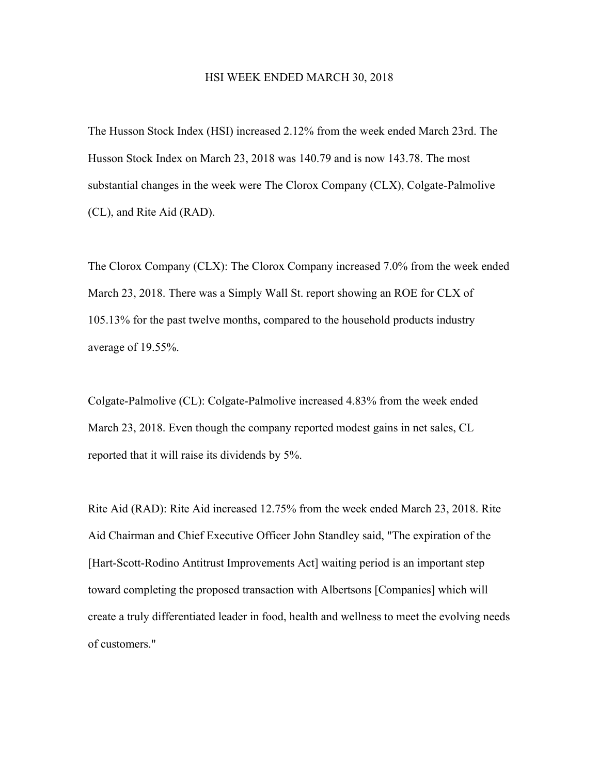## HSI WEEK ENDED MARCH 30, 2018

The Husson Stock Index (HSI) increased 2.12% from the week ended March 23rd. The Husson Stock Index on March 23, 2018 was 140.79 and is now 143.78. The most substantial changes in the week were The Clorox Company (CLX), Colgate-Palmolive (CL), and Rite Aid (RAD).

The Clorox Company (CLX): The Clorox Company increased 7.0% from the week ended March 23, 2018. There was a Simply Wall St. report showing an ROE for CLX of 105.13% for the past twelve months, compared to the household products industry average of 19.55%.

Colgate-Palmolive (CL): Colgate-Palmolive increased 4.83% from the week ended March 23, 2018. Even though the company reported modest gains in net sales, CL reported that it will raise its dividends by 5%.

Rite Aid (RAD): Rite Aid increased 12.75% from the week ended March 23, 2018. Rite Aid Chairman and Chief Executive Officer John Standley said, "The expiration of the [Hart-Scott-Rodino Antitrust Improvements Act] waiting period is an important step toward completing the proposed transaction with Albertsons [Companies] which will create a truly differentiated leader in food, health and wellness to meet the evolving needs of customers."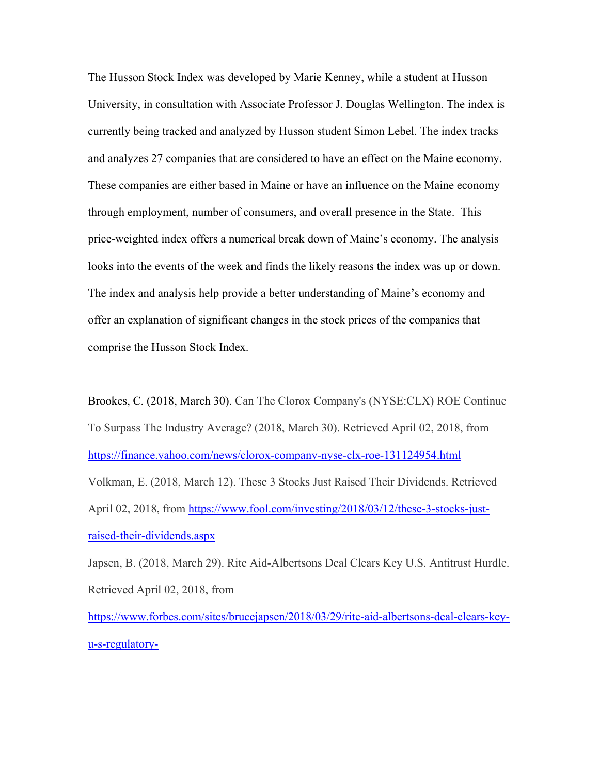The Husson Stock Index was developed by Marie Kenney, while a student at Husson University, in consultation with Associate Professor J. Douglas Wellington. The index is currently being tracked and analyzed by Husson student Simon Lebel. The index tracks and analyzes 27 companies that are considered to have an effect on the Maine economy. These companies are either based in Maine or have an influence on the Maine economy through employment, number of consumers, and overall presence in the State. This price-weighted index offers a numerical break down of Maine's economy. The analysis looks into the events of the week and finds the likely reasons the index was up or down. The index and analysis help provide a better understanding of Maine's economy and offer an explanation of significant changes in the stock prices of the companies that comprise the Husson Stock Index.

Brookes, C. (2018, March 30). Can The Clorox Company's (NYSE:CLX) ROE Continue To Surpass The Industry Average? (2018, March 30). Retrieved April 02, 2018, from https://finance.yahoo.com/news/clorox-company-nyse-clx-roe-131124954.html Volkman, E. (2018, March 12). These 3 Stocks Just Raised Their Dividends. Retrieved April 02, 2018, from https://www.fool.com/investing/2018/03/12/these-3-stocks-justraised-their-dividends.aspx

Japsen, B. (2018, March 29). Rite Aid-Albertsons Deal Clears Key U.S. Antitrust Hurdle. Retrieved April 02, 2018, from

https://www.forbes.com/sites/brucejapsen/2018/03/29/rite-aid-albertsons-deal-clears-keyu-s-regulatory